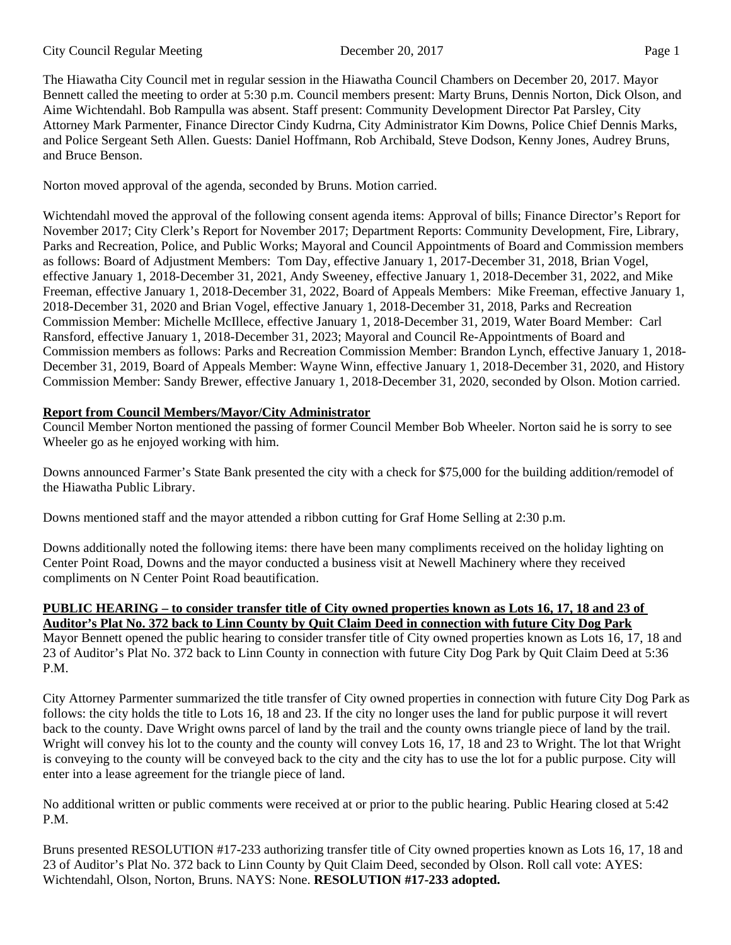### City Council Regular Meeting December 20, 2017 Page 1

The Hiawatha City Council met in regular session in the Hiawatha Council Chambers on December 20, 2017. Mayor Bennett called the meeting to order at 5:30 p.m. Council members present: Marty Bruns, Dennis Norton, Dick Olson, and Aime Wichtendahl. Bob Rampulla was absent. Staff present: Community Development Director Pat Parsley, City Attorney Mark Parmenter, Finance Director Cindy Kudrna, City Administrator Kim Downs, Police Chief Dennis Marks, and Police Sergeant Seth Allen. Guests: Daniel Hoffmann, Rob Archibald, Steve Dodson, Kenny Jones, Audrey Bruns, and Bruce Benson.

Norton moved approval of the agenda, seconded by Bruns. Motion carried.

Wichtendahl moved the approval of the following consent agenda items: Approval of bills; Finance Director's Report for November 2017; City Clerk's Report for November 2017; Department Reports: Community Development, Fire, Library, Parks and Recreation, Police, and Public Works; Mayoral and Council Appointments of Board and Commission members as follows: Board of Adjustment Members: Tom Day, effective January 1, 2017-December 31, 2018, Brian Vogel, effective January 1, 2018-December 31, 2021, Andy Sweeney, effective January 1, 2018-December 31, 2022, and Mike Freeman, effective January 1, 2018-December 31, 2022, Board of Appeals Members: Mike Freeman, effective January 1, 2018-December 31, 2020 and Brian Vogel, effective January 1, 2018-December 31, 2018, Parks and Recreation Commission Member: Michelle McIllece, effective January 1, 2018-December 31, 2019, Water Board Member: Carl Ransford, effective January 1, 2018-December 31, 2023; Mayoral and Council Re-Appointments of Board and Commission members as follows: Parks and Recreation Commission Member: Brandon Lynch, effective January 1, 2018- December 31, 2019, Board of Appeals Member: Wayne Winn, effective January 1, 2018-December 31, 2020, and History Commission Member: Sandy Brewer, effective January 1, 2018-December 31, 2020, seconded by Olson. Motion carried.

# **Report from Council Members/Mayor/City Administrator**

Council Member Norton mentioned the passing of former Council Member Bob Wheeler. Norton said he is sorry to see Wheeler go as he enjoyed working with him.

Downs announced Farmer's State Bank presented the city with a check for \$75,000 for the building addition/remodel of the Hiawatha Public Library.

Downs mentioned staff and the mayor attended a ribbon cutting for Graf Home Selling at 2:30 p.m.

Downs additionally noted the following items: there have been many compliments received on the holiday lighting on Center Point Road, Downs and the mayor conducted a business visit at Newell Machinery where they received compliments on N Center Point Road beautification.

# **PUBLIC HEARING – to consider transfer title of City owned properties known as Lots 16, 17, 18 and 23 of Auditor's Plat No. 372 back to Linn County by Quit Claim Deed in connection with future City Dog Park**

Mayor Bennett opened the public hearing to consider transfer title of City owned properties known as Lots 16, 17, 18 and 23 of Auditor's Plat No. 372 back to Linn County in connection with future City Dog Park by Quit Claim Deed at 5:36 P.M.

City Attorney Parmenter summarized the title transfer of City owned properties in connection with future City Dog Park as follows: the city holds the title to Lots 16, 18 and 23. If the city no longer uses the land for public purpose it will revert back to the county. Dave Wright owns parcel of land by the trail and the county owns triangle piece of land by the trail. Wright will convey his lot to the county and the county will convey Lots 16, 17, 18 and 23 to Wright. The lot that Wright is conveying to the county will be conveyed back to the city and the city has to use the lot for a public purpose. City will enter into a lease agreement for the triangle piece of land.

No additional written or public comments were received at or prior to the public hearing. Public Hearing closed at 5:42 P.M.

Bruns presented RESOLUTION #17-233 authorizing transfer title of City owned properties known as Lots 16, 17, 18 and 23 of Auditor's Plat No. 372 back to Linn County by Quit Claim Deed, seconded by Olson. Roll call vote: AYES: Wichtendahl, Olson, Norton, Bruns. NAYS: None. **RESOLUTION #17-233 adopted.**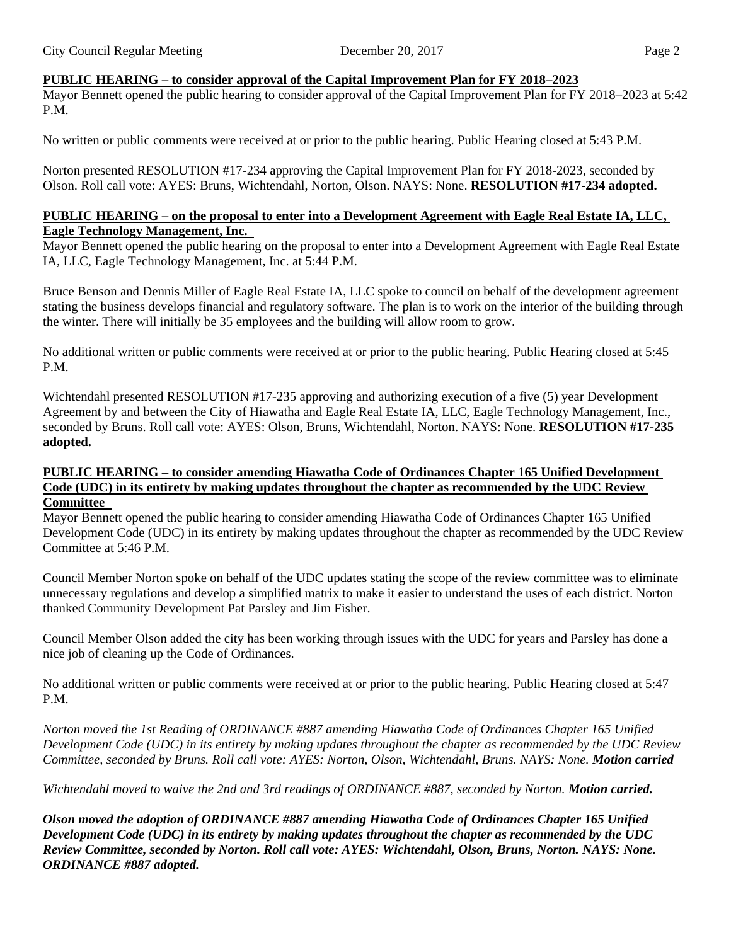## **PUBLIC HEARING – to consider approval of the Capital Improvement Plan for FY 2018–2023**

Mayor Bennett opened the public hearing to consider approval of the Capital Improvement Plan for FY 2018–2023 at 5:42 P.M.

No written or public comments were received at or prior to the public hearing. Public Hearing closed at 5:43 P.M.

Norton presented RESOLUTION #17-234 approving the Capital Improvement Plan for FY 2018-2023, seconded by Olson. Roll call vote: AYES: Bruns, Wichtendahl, Norton, Olson. NAYS: None. **RESOLUTION #17-234 adopted.** 

## **PUBLIC HEARING – on the proposal to enter into a Development Agreement with Eagle Real Estate IA, LLC, Eagle Technology Management, Inc.**

Mayor Bennett opened the public hearing on the proposal to enter into a Development Agreement with Eagle Real Estate IA, LLC, Eagle Technology Management, Inc. at 5:44 P.M.

Bruce Benson and Dennis Miller of Eagle Real Estate IA, LLC spoke to council on behalf of the development agreement stating the business develops financial and regulatory software. The plan is to work on the interior of the building through the winter. There will initially be 35 employees and the building will allow room to grow.

No additional written or public comments were received at or prior to the public hearing. Public Hearing closed at 5:45 P.M.

Wichtendahl presented RESOLUTION #17-235 approving and authorizing execution of a five (5) year Development Agreement by and between the City of Hiawatha and Eagle Real Estate IA, LLC, Eagle Technology Management, Inc., seconded by Bruns. Roll call vote: AYES: Olson, Bruns, Wichtendahl, Norton. NAYS: None. **RESOLUTION #17-235 adopted.** 

#### **PUBLIC HEARING – to consider amending Hiawatha Code of Ordinances Chapter 165 Unified Development Code (UDC) in its entirety by making updates throughout the chapter as recommended by the UDC Review Committee**

Mayor Bennett opened the public hearing to consider amending Hiawatha Code of Ordinances Chapter 165 Unified Development Code (UDC) in its entirety by making updates throughout the chapter as recommended by the UDC Review Committee at 5:46 P.M.

Council Member Norton spoke on behalf of the UDC updates stating the scope of the review committee was to eliminate unnecessary regulations and develop a simplified matrix to make it easier to understand the uses of each district. Norton thanked Community Development Pat Parsley and Jim Fisher.

Council Member Olson added the city has been working through issues with the UDC for years and Parsley has done a nice job of cleaning up the Code of Ordinances.

No additional written or public comments were received at or prior to the public hearing. Public Hearing closed at 5:47 P.M.

*Norton moved the 1st Reading of ORDINANCE #887 amending Hiawatha Code of Ordinances Chapter 165 Unified Development Code (UDC) in its entirety by making updates throughout the chapter as recommended by the UDC Review Committee, seconded by Bruns. Roll call vote: AYES: Norton, Olson, Wichtendahl, Bruns. NAYS: None. Motion carried* 

*Wichtendahl moved to waive the 2nd and 3rd readings of ORDINANCE #887, seconded by Norton. Motion carried.*

*Olson moved the adoption of ORDINANCE #887 amending Hiawatha Code of Ordinances Chapter 165 Unified Development Code (UDC) in its entirety by making updates throughout the chapter as recommended by the UDC Review Committee, seconded by Norton. Roll call vote: AYES: Wichtendahl, Olson, Bruns, Norton. NAYS: None. ORDINANCE #887 adopted.*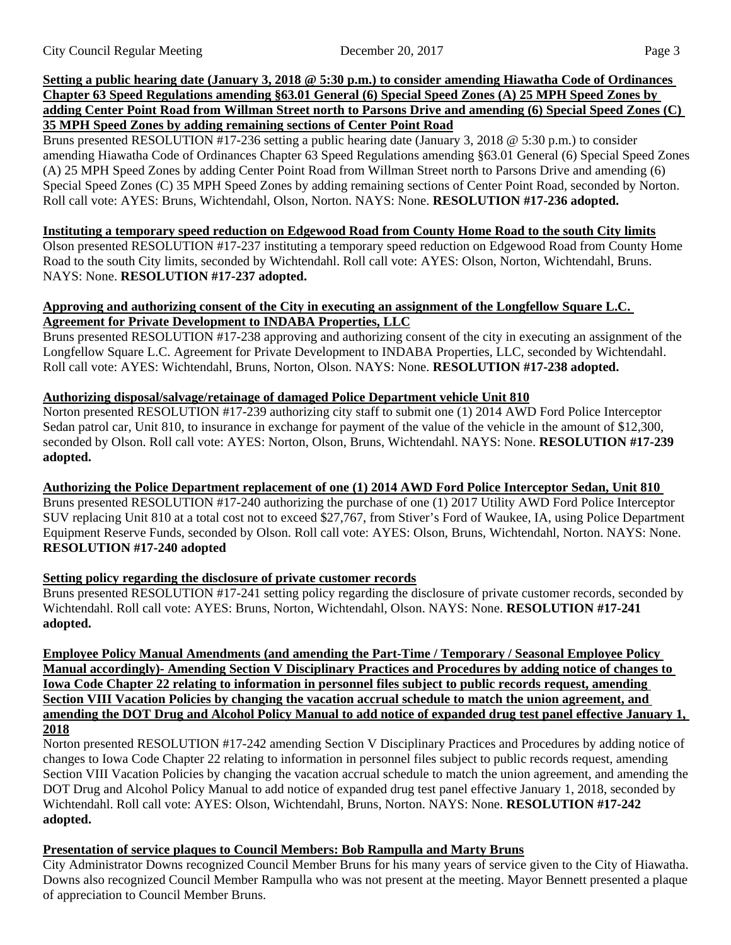## **Setting a public hearing date (January 3, 2018 @ 5:30 p.m.) to consider amending Hiawatha Code of Ordinances Chapter 63 Speed Regulations amending §63.01 General (6) Special Speed Zones (A) 25 MPH Speed Zones by adding Center Point Road from Willman Street north to Parsons Drive and amending (6) Special Speed Zones (C) 35 MPH Speed Zones by adding remaining sections of Center Point Road**

Bruns presented RESOLUTION #17-236 setting a public hearing date (January 3, 2018 @ 5:30 p.m.) to consider amending Hiawatha Code of Ordinances Chapter 63 Speed Regulations amending §63.01 General (6) Special Speed Zones (A) 25 MPH Speed Zones by adding Center Point Road from Willman Street north to Parsons Drive and amending (6) Special Speed Zones (C) 35 MPH Speed Zones by adding remaining sections of Center Point Road, seconded by Norton. Roll call vote: AYES: Bruns, Wichtendahl, Olson, Norton. NAYS: None. **RESOLUTION #17-236 adopted.**

### **Instituting a temporary speed reduction on Edgewood Road from County Home Road to the south City limits**

Olson presented RESOLUTION #17-237 instituting a temporary speed reduction on Edgewood Road from County Home Road to the south City limits, seconded by Wichtendahl. Roll call vote: AYES: Olson, Norton, Wichtendahl, Bruns. NAYS: None. **RESOLUTION #17-237 adopted.** 

## **Approving and authorizing consent of the City in executing an assignment of the Longfellow Square L.C. Agreement for Private Development to INDABA Properties, LLC**

Bruns presented RESOLUTION #17-238 approving and authorizing consent of the city in executing an assignment of the Longfellow Square L.C. Agreement for Private Development to INDABA Properties, LLC, seconded by Wichtendahl. Roll call vote: AYES: Wichtendahl, Bruns, Norton, Olson. NAYS: None. **RESOLUTION #17-238 adopted.**

## **Authorizing disposal/salvage/retainage of damaged Police Department vehicle Unit 810**

Norton presented RESOLUTION #17-239 authorizing city staff to submit one (1) 2014 AWD Ford Police Interceptor Sedan patrol car, Unit 810, to insurance in exchange for payment of the value of the vehicle in the amount of \$12,300, seconded by Olson. Roll call vote: AYES: Norton, Olson, Bruns, Wichtendahl. NAYS: None. **RESOLUTION #17-239 adopted.**

**Authorizing the Police Department replacement of one (1) 2014 AWD Ford Police Interceptor Sedan, Unit 810** 

Bruns presented RESOLUTION #17-240 authorizing the purchase of one (1) 2017 Utility AWD Ford Police Interceptor SUV replacing Unit 810 at a total cost not to exceed \$27,767, from Stiver's Ford of Waukee, IA, using Police Department Equipment Reserve Funds, seconded by Olson. Roll call vote: AYES: Olson, Bruns, Wichtendahl, Norton. NAYS: None. **RESOLUTION #17-240 adopted**

### **Setting policy regarding the disclosure of private customer records**

Bruns presented RESOLUTION #17-241 setting policy regarding the disclosure of private customer records, seconded by Wichtendahl. Roll call vote: AYES: Bruns, Norton, Wichtendahl, Olson. NAYS: None. **RESOLUTION #17-241 adopted.**

**Employee Policy Manual Amendments (and amending the Part-Time / Temporary / Seasonal Employee Policy Manual accordingly)- Amending Section V Disciplinary Practices and Procedures by adding notice of changes to Iowa Code Chapter 22 relating to information in personnel files subject to public records request, amending Section VIII Vacation Policies by changing the vacation accrual schedule to match the union agreement, and amending the DOT Drug and Alcohol Policy Manual to add notice of expanded drug test panel effective January 1, 2018**

## Norton presented RESOLUTION #17-242 amending Section V Disciplinary Practices and Procedures by adding notice of changes to Iowa Code Chapter 22 relating to information in personnel files subject to public records request, amending Section VIII Vacation Policies by changing the vacation accrual schedule to match the union agreement, and amending the DOT Drug and Alcohol Policy Manual to add notice of expanded drug test panel effective January 1, 2018, seconded by Wichtendahl. Roll call vote: AYES: Olson, Wichtendahl, Bruns, Norton. NAYS: None. **RESOLUTION #17-242 adopted.**

## **Presentation of service plaques to Council Members: Bob Rampulla and Marty Bruns**

City Administrator Downs recognized Council Member Bruns for his many years of service given to the City of Hiawatha. Downs also recognized Council Member Rampulla who was not present at the meeting. Mayor Bennett presented a plaque of appreciation to Council Member Bruns.